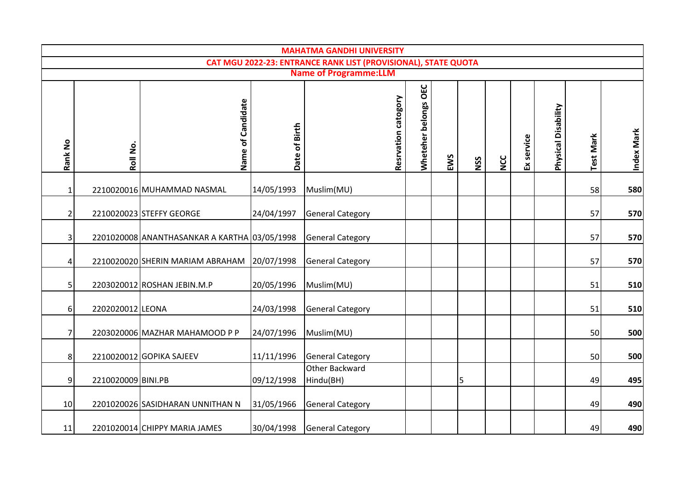|                |                                                                                                |                                              |               | <b>MAHATMA GANDHI UNIVERSITY</b> |                     |                      |     |     |            |            |                     |                  |            |
|----------------|------------------------------------------------------------------------------------------------|----------------------------------------------|---------------|----------------------------------|---------------------|----------------------|-----|-----|------------|------------|---------------------|------------------|------------|
|                | CAT MGU 2022-23: ENTRANCE RANK LIST (PROVISIONAL), STATE QUOTA<br><b>Name of Programme:LLM</b> |                                              |               |                                  |                     |                      |     |     |            |            |                     |                  |            |
|                |                                                                                                |                                              |               |                                  |                     |                      |     |     |            |            |                     |                  |            |
| Rank No        | Roll No.                                                                                       | of Candidate<br>Name                         | Date of Birth |                                  | Resrvation catogory | Wheteher belongs OEC | EWS | NSS | <b>NCC</b> | Ex service | Physical Disability | <b>Test Mark</b> | Index Mark |
| $\mathbf{1}$   |                                                                                                | 2210020016 MUHAMMAD NASMAL                   | 14/05/1993    | Muslim(MU)                       |                     |                      |     |     |            |            |                     | 58               | 580        |
| $\overline{2}$ |                                                                                                | 2210020023 STEFFY GEORGE                     | 24/04/1997    | <b>General Category</b>          |                     |                      |     |     |            |            |                     | 57               | 570        |
| 3              |                                                                                                | 2201020008 ANANTHASANKAR A KARTHA 03/05/1998 |               | <b>General Category</b>          |                     |                      |     |     |            |            |                     | 57               | 570        |
| 4              |                                                                                                | 2210020020 SHERIN MARIAM ABRAHAM 20/07/1998  |               | <b>General Category</b>          |                     |                      |     |     |            |            |                     | 57               | 570        |
| 5              |                                                                                                | 2203020012 ROSHAN JEBIN.M.P                  | 20/05/1996    | Muslim(MU)                       |                     |                      |     |     |            |            |                     | 51               | 510        |
| 6              | 2202020012 LEONA                                                                               |                                              | 24/03/1998    | <b>General Category</b>          |                     |                      |     |     |            |            |                     | 51               | 510        |
| 7              |                                                                                                | 2203020006 MAZHAR MAHAMOOD P P               | 24/07/1996    | Muslim(MU)                       |                     |                      |     |     |            |            |                     | 50               | 500        |
| 8              |                                                                                                | 2210020012 GOPIKA SAJEEV                     | 11/11/1996    | <b>General Category</b>          |                     |                      |     |     |            |            |                     | 50               | 500        |
| 9              | 2210020009 BINI.PB                                                                             |                                              | 09/12/1998    | Other Backward<br>Hindu(BH)      |                     |                      |     | 5   |            |            |                     | 49               | 495        |
| 10             |                                                                                                | 2201020026 SASIDHARAN UNNITHAN N             | 31/05/1966    | <b>General Category</b>          |                     |                      |     |     |            |            |                     | 49               | 490        |
| 11             |                                                                                                | 2201020014 CHIPPY MARIA JAMES                | 30/04/1998    | <b>General Category</b>          |                     |                      |     |     |            |            |                     | 49               | 490        |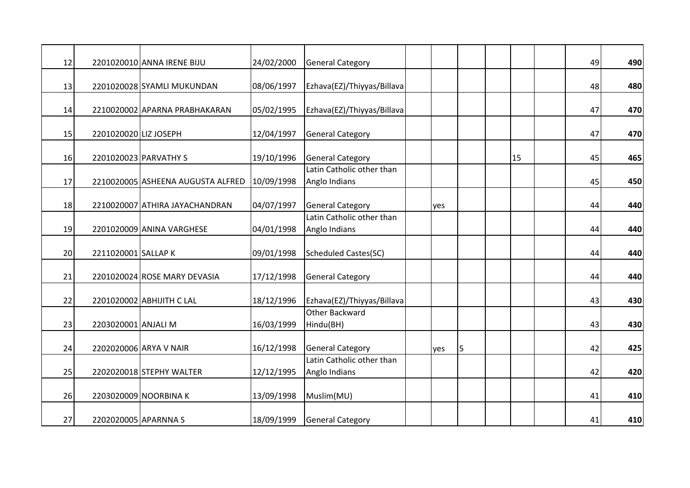| 12 |                       | 2201020010 ANNA IRENE BIJU                   | 24/02/2000 | <b>General Category</b>                    |     |   |    | 49 | 490 |
|----|-----------------------|----------------------------------------------|------------|--------------------------------------------|-----|---|----|----|-----|
| 13 |                       | 2201020028 SYAMLI MUKUNDAN                   | 08/06/1997 | Ezhava(EZ)/Thiyyas/Billava                 |     |   |    | 48 | 480 |
| 14 |                       | 2210020002 APARNA PRABHAKARAN                | 05/02/1995 | Ezhava(EZ)/Thiyyas/Billava                 |     |   |    | 47 | 470 |
| 15 | 2201020020 LIZ JOSEPH |                                              | 12/04/1997 | <b>General Category</b>                    |     |   |    | 47 | 470 |
| 16 |                       | 2201020023 PARVATHY S                        | 19/10/1996 | <b>General Category</b>                    |     |   | 15 | 45 | 465 |
| 17 |                       | 2210020005 ASHEENA AUGUSTA ALFRED 10/09/1998 |            | Latin Catholic other than<br>Anglo Indians |     |   |    | 45 | 450 |
| 18 |                       | 2210020007 ATHIRA JAYACHANDRAN               | 04/07/1997 | <b>General Category</b>                    | yes |   |    | 44 | 440 |
| 19 |                       | 2201020009 ANINA VARGHESE                    | 04/01/1998 | Latin Catholic other than<br>Anglo Indians |     |   |    | 44 | 440 |
| 20 | 2211020001 SALLAP K   |                                              | 09/01/1998 | <b>Scheduled Castes(SC)</b>                |     |   |    | 44 | 440 |
| 21 |                       | 2201020024 ROSE MARY DEVASIA                 | 17/12/1998 | <b>General Category</b>                    |     |   |    | 44 | 440 |
| 22 |                       | 2201020002 ABHIJITH C LAL                    | 18/12/1996 | Ezhava(EZ)/Thiyyas/Billava                 |     |   |    | 43 | 430 |
| 23 | 2203020001 ANJALI M   |                                              | 16/03/1999 | <b>Other Backward</b><br>Hindu(BH)         |     |   |    | 43 | 430 |
| 24 |                       | 2202020006 ARYA V NAIR                       | 16/12/1998 | <b>General Category</b>                    | yes | 5 |    | 42 | 425 |
| 25 |                       | 2202020018 STEPHY WALTER                     | 12/12/1995 | Latin Catholic other than<br>Anglo Indians |     |   |    | 42 | 420 |
| 26 |                       | 2203020009 NOORBINA K                        | 13/09/1998 | Muslim(MU)                                 |     |   |    | 41 | 410 |
| 27 | 2202020005 APARNNA S  |                                              | 18/09/1999 | <b>General Category</b>                    |     |   |    | 41 | 410 |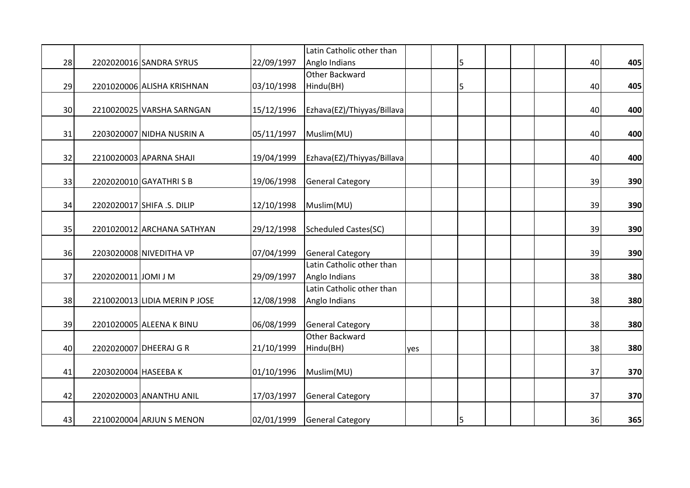|    |                      |                               |            | Latin Catholic other than                  |     |   |  |    |     |
|----|----------------------|-------------------------------|------------|--------------------------------------------|-----|---|--|----|-----|
| 28 |                      | 2202020016 SANDRA SYRUS       | 22/09/1997 | Anglo Indians                              |     | 5 |  | 40 | 405 |
|    |                      |                               |            | Other Backward                             |     |   |  |    |     |
| 29 |                      | 2201020006 ALISHA KRISHNAN    | 03/10/1998 | Hindu(BH)                                  |     | 5 |  | 40 | 405 |
|    |                      |                               |            |                                            |     |   |  |    |     |
| 30 |                      | 2210020025 VARSHA SARNGAN     | 15/12/1996 | Ezhava(EZ)/Thiyyas/Billava                 |     |   |  | 40 | 400 |
| 31 |                      | 2203020007 NIDHA NUSRIN A     | 05/11/1997 | Muslim(MU)                                 |     |   |  | 40 | 400 |
| 32 |                      | 2210020003 APARNA SHAJI       | 19/04/1999 | Ezhava(EZ)/Thiyyas/Billava                 |     |   |  | 40 | 400 |
|    |                      |                               |            |                                            |     |   |  |    |     |
| 33 |                      | 2202020010 GAYATHRI S B       | 19/06/1998 | <b>General Category</b>                    |     |   |  | 39 | 390 |
| 34 |                      | 2202020017 SHIFA .S. DILIP    | 12/10/1998 | Muslim(MU)                                 |     |   |  | 39 | 390 |
| 35 |                      | 2201020012 ARCHANA SATHYAN    | 29/12/1998 | <b>Scheduled Castes(SC)</b>                |     |   |  | 39 | 390 |
| 36 |                      | 2203020008 NIVEDITHA VP       | 07/04/1999 | <b>General Category</b>                    |     |   |  | 39 | 390 |
| 37 | 2202020011 JOMI J M  |                               | 29/09/1997 | Latin Catholic other than<br>Anglo Indians |     |   |  | 38 | 380 |
| 38 |                      | 2210020013 LIDIA MERIN P JOSE | 12/08/1998 | Latin Catholic other than<br>Anglo Indians |     |   |  | 38 | 380 |
| 39 |                      | 2201020005 ALEENA K BINU      | 06/08/1999 | <b>General Category</b>                    |     |   |  | 38 | 380 |
| 40 |                      | 2202020007 DHEERAJ G R        | 21/10/1999 | <b>Other Backward</b><br>Hindu(BH)         | yes |   |  | 38 | 380 |
| 41 | 2203020004 HASEEBA K |                               | 01/10/1996 | Muslim(MU)                                 |     |   |  | 37 | 370 |
| 42 |                      | 2202020003 ANANTHU ANIL       | 17/03/1997 | <b>General Category</b>                    |     |   |  | 37 | 370 |
| 43 |                      | 2210020004 ARJUN S MENON      | 02/01/1999 | <b>General Category</b>                    |     | 5 |  | 36 | 365 |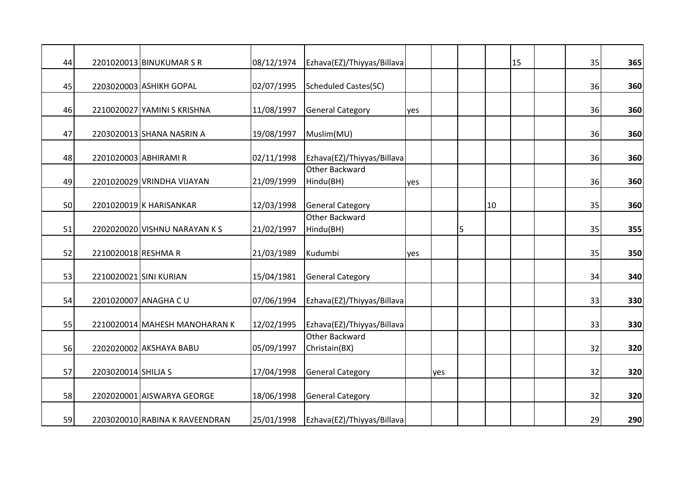| 44 |                     | 2201020013 BINUKUMAR S R       | 08/12/1974 | Ezhava(EZ)/Thiyyas/Billava      |     |     |   |    | 15 | 35 | 365 |
|----|---------------------|--------------------------------|------------|---------------------------------|-----|-----|---|----|----|----|-----|
| 45 |                     | 2203020003 ASHIKH GOPAL        | 02/07/1995 | <b>Scheduled Castes(SC)</b>     |     |     |   |    |    | 36 | 360 |
| 46 |                     | 2210020027 YAMINI S KRISHNA    | 11/08/1997 | <b>General Category</b>         | yes |     |   |    |    | 36 | 360 |
| 47 |                     | 2203020013 SHANA NASRIN A      | 19/08/1997 | Muslim(MU)                      |     |     |   |    |    | 36 | 360 |
| 48 |                     | 2201020003 ABHIRAMI R          | 02/11/1998 | Ezhava(EZ)/Thiyyas/Billava      |     |     |   |    |    | 36 | 360 |
| 49 |                     | 2201020029 VRINDHA VIJAYAN     | 21/09/1999 | Other Backward<br>Hindu(BH)     | yes |     |   |    |    | 36 | 360 |
| 50 |                     | 2201020019 K HARISANKAR        | 12/03/1998 | <b>General Category</b>         |     |     |   | 10 |    | 35 | 360 |
| 51 |                     | 2202020020 VISHNU NARAYAN K S  | 21/02/1997 | Other Backward<br>Hindu(BH)     |     |     | 5 |    |    | 35 | 355 |
| 52 | 2210020018 RESHMAR  |                                | 21/03/1989 | Kudumbi                         | yes |     |   |    |    | 35 | 350 |
| 53 |                     | 2210020021 SINI KURIAN         | 15/04/1981 | <b>General Category</b>         |     |     |   |    |    | 34 | 340 |
| 54 |                     | 2201020007 ANAGHA C U          | 07/06/1994 | Ezhava(EZ)/Thiyyas/Billava      |     |     |   |    |    | 33 | 330 |
| 55 |                     | 2210020014 MAHESH MANOHARAN K  | 12/02/1995 | Ezhava(EZ)/Thiyyas/Billava      |     |     |   |    |    | 33 | 330 |
| 56 |                     | 2202020002 AKSHAYA BABU        | 05/09/1997 | Other Backward<br>Christain(BX) |     |     |   |    |    | 32 | 320 |
| 57 | 2203020014 SHILJA S |                                | 17/04/1998 | <b>General Category</b>         |     | yes |   |    |    | 32 | 320 |
| 58 |                     | 2202020001 AISWARYA GEORGE     | 18/06/1998 | <b>General Category</b>         |     |     |   |    |    | 32 | 320 |
| 59 |                     | 2203020010 RABINA K RAVEENDRAN | 25/01/1998 | Ezhava(EZ)/Thiyyas/Billava      |     |     |   |    |    | 29 | 290 |